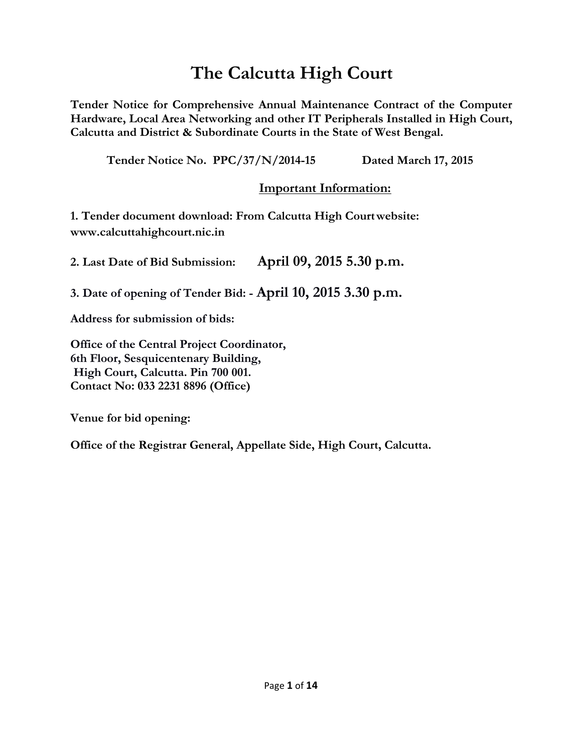# **The Calcutta High Court**

**Tender Notice for Comprehensive Annual Maintenance Contract of the Computer Hardware, Local Area Networking and other IT Peripherals Installed in High Court, Calcutta and District & Subordinate Courts in the State of West Bengal.**

**Tender Notice No. PPC/37/N/2014-15 Dated March 17, 2015** 

# **Important Information:**

**1. Tender document download: From Calcutta High Courtwebsite: www.calcuttahighcourt.nic.in**

**2. Last Date of Bid Submission: April 09, 2015 5.30 p.m.**

**3. Date of opening of Tender Bid: - April 10, 2015 3.30 p.m.** 

**Address for submission of bids:** 

**Office of the Central Project Coordinator, 6th Floor, Sesquicentenary Building, High Court, Calcutta. Pin 700 001. Contact No: 033 2231 8896 (Office)**

**Venue for bid opening:** 

**Office of the Registrar General, Appellate Side, High Court, Calcutta.**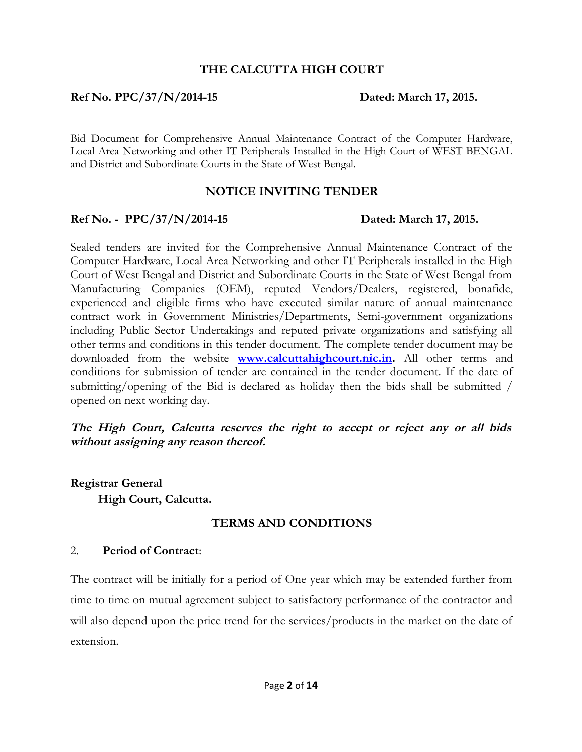#### **THE CALCUTTA HIGH COURT**

#### **Ref No. PPC/37/N/2014-15 Dated: March 17, 2015.**

Bid Document for Comprehensive Annual Maintenance Contract of the Computer Hardware, Local Area Networking and other IT Peripherals Installed in the High Court of WEST BENGAL and District and Subordinate Courts in the State of West Bengal.

#### **NOTICE INVITING TENDER**

#### **Ref No. - PPC/37/N/2014-15 Dated: March 17, 2015.**

Sealed tenders are invited for the Comprehensive Annual Maintenance Contract of the Computer Hardware, Local Area Networking and other IT Peripherals installed in the High Court of West Bengal and District and Subordinate Courts in the State of West Bengal from Manufacturing Companies (OEM), reputed Vendors/Dealers, registered, bonafide, experienced and eligible firms who have executed similar nature of annual maintenance contract work in Government Ministries/Departments, Semi-government organizations including Public Sector Undertakings and reputed private organizations and satisfying all other terms and conditions in this tender document. The complete tender document may be downloaded from the website **[www.calcuttahighcourt.nic.in.](http://www.calcuttahighcourt.nic.in/)** All other terms and conditions for submission of tender are contained in the tender document. If the date of submitting/opening of the Bid is declared as holiday then the bids shall be submitted / opened on next working day.

**The High Court, Calcutta reserves the right to accept or reject any or all bids without assigning any reason thereof.**

**Registrar General High Court, Calcutta.**

#### **TERMS AND CONDITIONS**

#### 2. **Period of Contract**:

The contract will be initially for a period of One year which may be extended further from time to time on mutual agreement subject to satisfactory performance of the contractor and will also depend upon the price trend for the services/products in the market on the date of extension.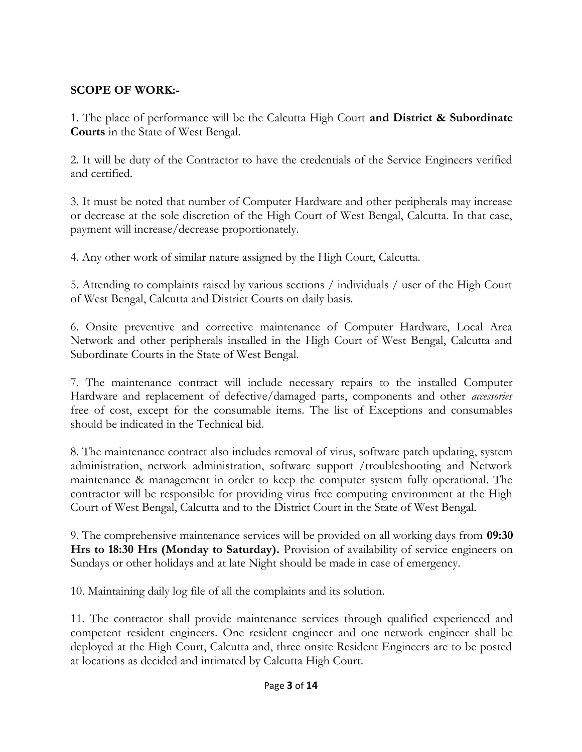# **SCOPE OF WORK:-**

1. The place of performance will be the Calcutta High Court **and District & Subordinate Courts** in the State of West Bengal.

2. It will be duty of the Contractor to have the credentials of the Service Engineers verified and certified.

3. It must be noted that number of Computer Hardware and other peripherals may increase or decrease at the sole discretion of the High Court of West Bengal, Calcutta. In that case, payment will increase/decrease proportionately.

4. Any other work of similar nature assigned by the High Court, Calcutta.

5. Attending to complaints raised by various sections / individuals / user of the High Court of West Bengal, Calcutta and District Courts on daily basis.

6. Onsite preventive and corrective maintenance of Computer Hardware, Local Area Network and other peripherals installed in the High Court of West Bengal, Calcutta and Subordinate Courts in the State of West Bengal.

7. The maintenance contract will include necessary repairs to the installed Computer Hardware and replacement of defective/damaged parts, components and other *accessories* free of cost, except for the consumable items. The list of Exceptions and consumables should be indicated in the Technical bid.

8. The maintenance contract also includes removal of virus, software patch updating, system administration, network administration, software support /troubleshooting and Network maintenance & management in order to keep the computer system fully operational. The contractor will be responsible for providing virus free computing environment at the High Court of West Bengal, Calcutta and to the District Court in the State of West Bengal.

9. The comprehensive maintenance services will be provided on all working days from **09:30 Hrs to 18:30 Hrs (Monday to Saturday).** Provision of availability of service engineers on Sundays or other holidays and at late Night should be made in case of emergency.

10. Maintaining daily log file of all the complaints and its solution.

11. The contractor shall provide maintenance services through qualified experienced and competent resident engineers. One resident engineer and one network engineer shall be deployed at the High Court, Calcutta and, three onsite Resident Engineers are to be posted at locations as decided and intimated by Calcutta High Court.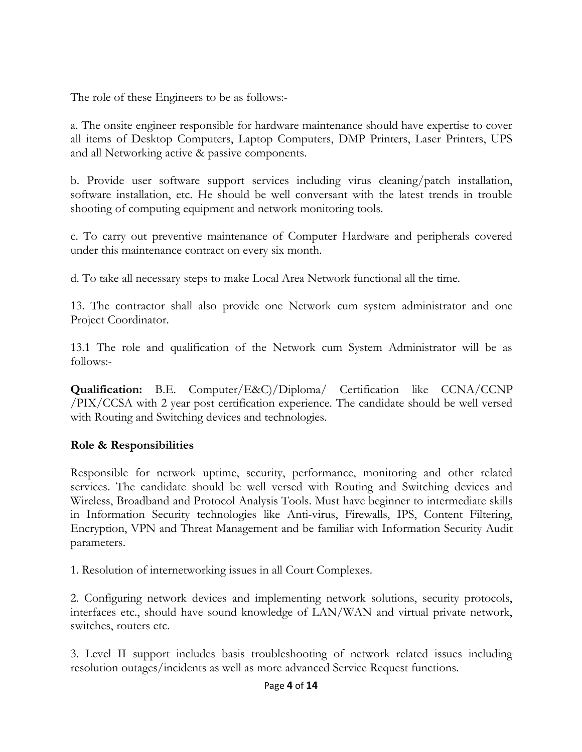The role of these Engineers to be as follows:-

a. The onsite engineer responsible for hardware maintenance should have expertise to cover all items of Desktop Computers, Laptop Computers, DMP Printers, Laser Printers, UPS and all Networking active & passive components.

b. Provide user software support services including virus cleaning/patch installation, software installation, etc. He should be well conversant with the latest trends in trouble shooting of computing equipment and network monitoring tools.

c. To carry out preventive maintenance of Computer Hardware and peripherals covered under this maintenance contract on every six month.

d. To take all necessary steps to make Local Area Network functional all the time.

13. The contractor shall also provide one Network cum system administrator and one Project Coordinator.

13.1 The role and qualification of the Network cum System Administrator will be as follows:-

**Qualification:** B.E. Computer/E&C)/Diploma/ Certification like CCNA/CCNP /PIX/CCSA with 2 year post certification experience. The candidate should be well versed with Routing and Switching devices and technologies.

# **Role & Responsibilities**

Responsible for network uptime, security, performance, monitoring and other related services. The candidate should be well versed with Routing and Switching devices and Wireless, Broadband and Protocol Analysis Tools. Must have beginner to intermediate skills in Information Security technologies like Anti-virus, Firewalls, IPS, Content Filtering, Encryption, VPN and Threat Management and be familiar with Information Security Audit parameters.

1. Resolution of internetworking issues in all Court Complexes.

2. Configuring network devices and implementing network solutions, security protocols, interfaces etc., should have sound knowledge of LAN/WAN and virtual private network, switches, routers etc.

3. Level II support includes basis troubleshooting of network related issues including resolution outages/incidents as well as more advanced Service Request functions.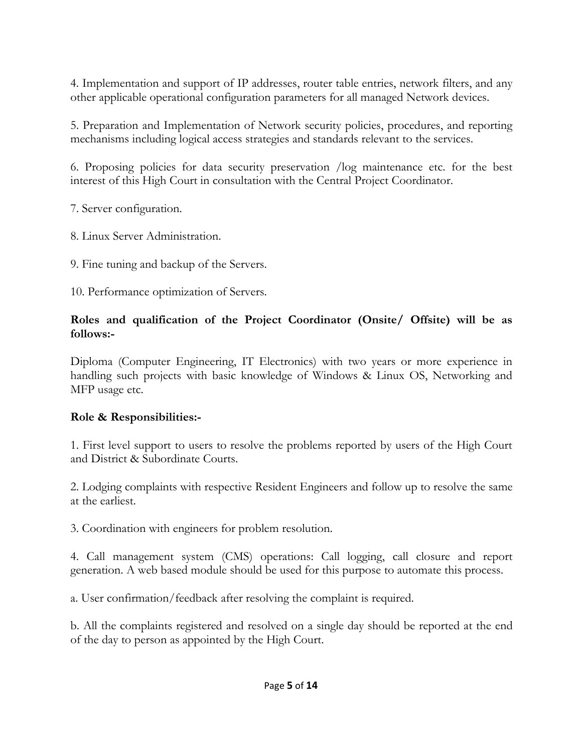4. Implementation and support of IP addresses, router table entries, network filters, and any other applicable operational configuration parameters for all managed Network devices.

5. Preparation and Implementation of Network security policies, procedures, and reporting mechanisms including logical access strategies and standards relevant to the services.

6. Proposing policies for data security preservation /log maintenance etc. for the best interest of this High Court in consultation with the Central Project Coordinator.

7. Server configuration.

8. Linux Server Administration.

9. Fine tuning and backup of the Servers.

10. Performance optimization of Servers.

# **Roles and qualification of the Project Coordinator (Onsite/ Offsite) will be as follows:-**

Diploma (Computer Engineering, IT Electronics) with two years or more experience in handling such projects with basic knowledge of Windows & Linux OS, Networking and MFP usage etc.

# **Role & Responsibilities:-**

1. First level support to users to resolve the problems reported by users of the High Court and District & Subordinate Courts.

2. Lodging complaints with respective Resident Engineers and follow up to resolve the same at the earliest.

3. Coordination with engineers for problem resolution.

4. Call management system (CMS) operations: Call logging, call closure and report generation. A web based module should be used for this purpose to automate this process.

a. User confirmation/feedback after resolving the complaint is required.

b. All the complaints registered and resolved on a single day should be reported at the end of the day to person as appointed by the High Court.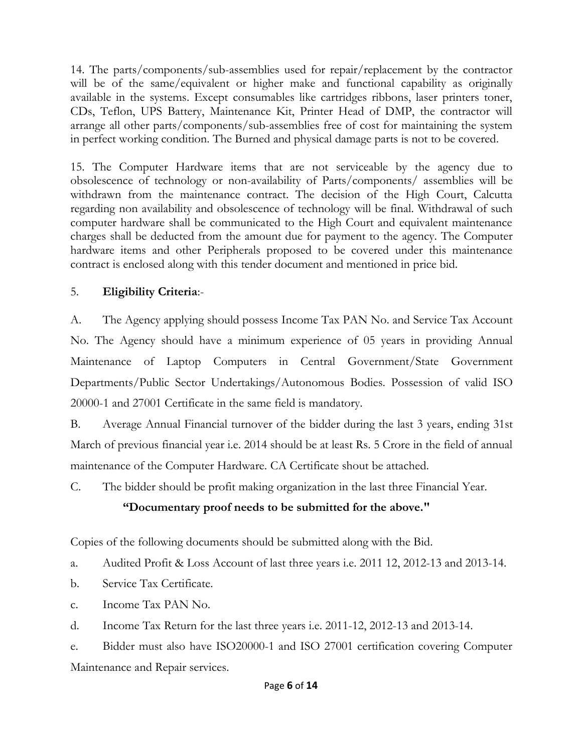14. The parts/components/sub-assemblies used for repair/replacement by the contractor will be of the same/equivalent or higher make and functional capability as originally available in the systems. Except consumables like cartridges ribbons, laser printers toner, CDs, Teflon, UPS Battery, Maintenance Kit, Printer Head of DMP, the contractor will arrange all other parts/components/sub-assemblies free of cost for maintaining the system in perfect working condition. The Burned and physical damage parts is not to be covered.

15. The Computer Hardware items that are not serviceable by the agency due to obsolescence of technology or non-availability of Parts/components/ assemblies will be withdrawn from the maintenance contract. The decision of the High Court, Calcutta regarding non availability and obsolescence of technology will be final. Withdrawal of such computer hardware shall be communicated to the High Court and equivalent maintenance charges shall be deducted from the amount due for payment to the agency. The Computer hardware items and other Peripherals proposed to be covered under this maintenance contract is enclosed along with this tender document and mentioned in price bid.

# 5. **Eligibility Criteria**:-

A. The Agency applying should possess Income Tax PAN No. and Service Tax Account No. The Agency should have a minimum experience of 05 years in providing Annual Maintenance of Laptop Computers in Central Government/State Government Departments/Public Sector Undertakings/Autonomous Bodies. Possession of valid ISO 20000-1 and 27001 Certificate in the same field is mandatory.

B. Average Annual Financial turnover of the bidder during the last 3 years, ending 31st March of previous financial year i.e. 2014 should be at least Rs. 5 Crore in the field of annual maintenance of the Computer Hardware. CA Certificate shout be attached.

C. The bidder should be profit making organization in the last three Financial Year.

# **"Documentary proof needs to be submitted for the above."**

Copies of the following documents should be submitted along with the Bid.

a. Audited Profit & Loss Account of last three years i.e. 2011 12, 2012-13 and 2013-14.

- b. Service Tax Certificate.
- c. Income Tax PAN No.

d. Income Tax Return for the last three years i.e. 2011-12, 2012-13 and 2013-14.

e. Bidder must also have ISO20000-1 and ISO 27001 certification covering Computer Maintenance and Repair services.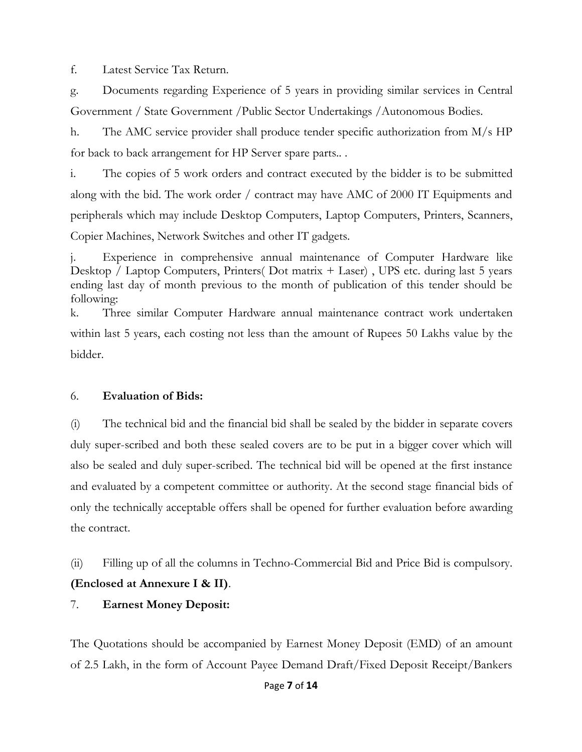f. Latest Service Tax Return.

g. Documents regarding Experience of 5 years in providing similar services in Central Government / State Government /Public Sector Undertakings /Autonomous Bodies.

h. The AMC service provider shall produce tender specific authorization from M/s HP for back to back arrangement for HP Server spare parts.. .

i. The copies of 5 work orders and contract executed by the bidder is to be submitted along with the bid. The work order / contract may have AMC of 2000 IT Equipments and peripherals which may include Desktop Computers, Laptop Computers, Printers, Scanners, Copier Machines, Network Switches and other IT gadgets.

Experience in comprehensive annual maintenance of Computer Hardware like Desktop / Laptop Computers, Printers (Dot matrix + Laser), UPS etc. during last 5 years ending last day of month previous to the month of publication of this tender should be following:

k. Three similar Computer Hardware annual maintenance contract work undertaken within last 5 years, each costing not less than the amount of Rupees 50 Lakhs value by the bidder.

#### 6. **Evaluation of Bids:**

(i) The technical bid and the financial bid shall be sealed by the bidder in separate covers duly super-scribed and both these sealed covers are to be put in a bigger cover which will also be sealed and duly super-scribed. The technical bid will be opened at the first instance and evaluated by a competent committee or authority. At the second stage financial bids of only the technically acceptable offers shall be opened for further evaluation before awarding the contract.

(ii) Filling up of all the columns in Techno-Commercial Bid and Price Bid is compulsory. **(Enclosed at Annexure I & II)**.

#### 7. **Earnest Money Deposit:**

The Quotations should be accompanied by Earnest Money Deposit (EMD) of an amount of 2.5 Lakh, in the form of Account Payee Demand Draft/Fixed Deposit Receipt/Bankers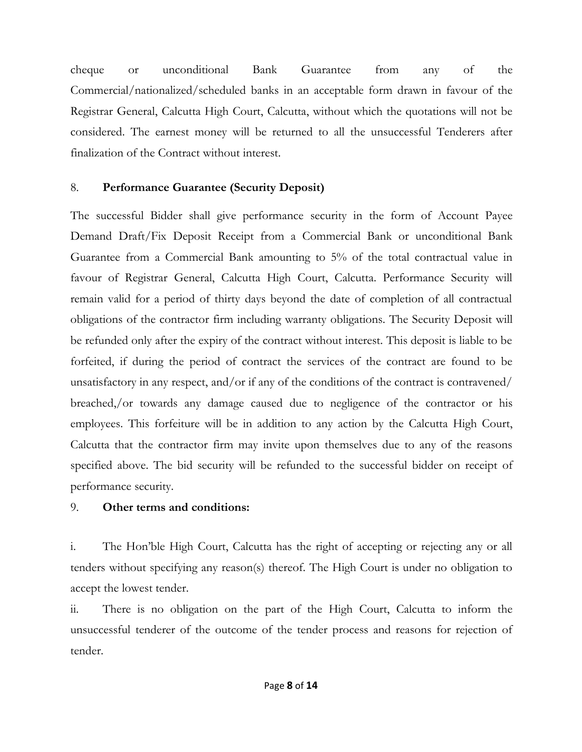cheque or unconditional Bank Guarantee from any of the Commercial/nationalized/scheduled banks in an acceptable form drawn in favour of the Registrar General, Calcutta High Court, Calcutta, without which the quotations will not be considered. The earnest money will be returned to all the unsuccessful Tenderers after finalization of the Contract without interest.

# 8. **Performance Guarantee (Security Deposit)**

The successful Bidder shall give performance security in the form of Account Payee Demand Draft/Fix Deposit Receipt from a Commercial Bank or unconditional Bank Guarantee from a Commercial Bank amounting to 5% of the total contractual value in favour of Registrar General, Calcutta High Court, Calcutta. Performance Security will remain valid for a period of thirty days beyond the date of completion of all contractual obligations of the contractor firm including warranty obligations. The Security Deposit will be refunded only after the expiry of the contract without interest. This deposit is liable to be forfeited, if during the period of contract the services of the contract are found to be unsatisfactory in any respect, and/or if any of the conditions of the contract is contravened/ breached,/or towards any damage caused due to negligence of the contractor or his employees. This forfeiture will be in addition to any action by the Calcutta High Court, Calcutta that the contractor firm may invite upon themselves due to any of the reasons specified above. The bid security will be refunded to the successful bidder on receipt of performance security.

## 9. **Other terms and conditions:**

i. The Hon'ble High Court, Calcutta has the right of accepting or rejecting any or all tenders without specifying any reason(s) thereof. The High Court is under no obligation to accept the lowest tender.

ii. There is no obligation on the part of the High Court, Calcutta to inform the unsuccessful tenderer of the outcome of the tender process and reasons for rejection of tender.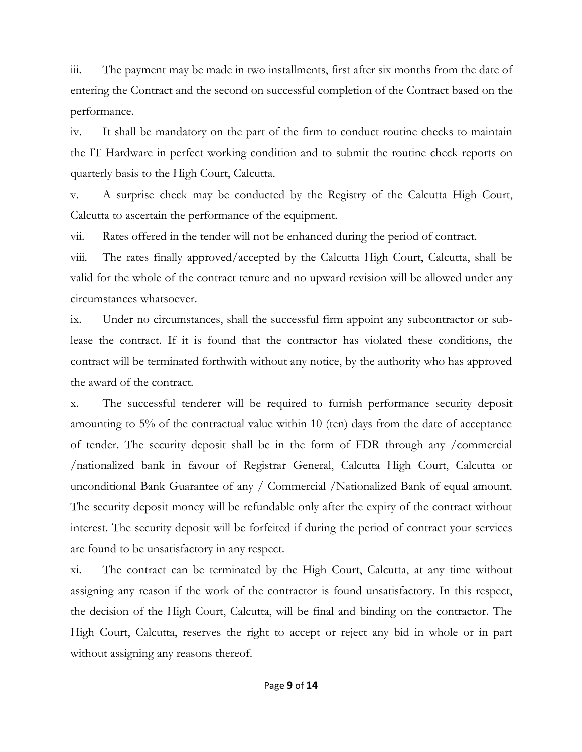iii. The payment may be made in two installments, first after six months from the date of entering the Contract and the second on successful completion of the Contract based on the performance.

iv. It shall be mandatory on the part of the firm to conduct routine checks to maintain the IT Hardware in perfect working condition and to submit the routine check reports on quarterly basis to the High Court, Calcutta.

v. A surprise check may be conducted by the Registry of the Calcutta High Court, Calcutta to ascertain the performance of the equipment.

vii. Rates offered in the tender will not be enhanced during the period of contract.

viii. The rates finally approved/accepted by the Calcutta High Court, Calcutta, shall be valid for the whole of the contract tenure and no upward revision will be allowed under any circumstances whatsoever.

ix. Under no circumstances, shall the successful firm appoint any subcontractor or sublease the contract. If it is found that the contractor has violated these conditions, the contract will be terminated forthwith without any notice, by the authority who has approved the award of the contract.

x. The successful tenderer will be required to furnish performance security deposit amounting to 5% of the contractual value within 10 (ten) days from the date of acceptance of tender. The security deposit shall be in the form of FDR through any /commercial /nationalized bank in favour of Registrar General, Calcutta High Court, Calcutta or unconditional Bank Guarantee of any / Commercial /Nationalized Bank of equal amount. The security deposit money will be refundable only after the expiry of the contract without interest. The security deposit will be forfeited if during the period of contract your services are found to be unsatisfactory in any respect.

xi. The contract can be terminated by the High Court, Calcutta, at any time without assigning any reason if the work of the contractor is found unsatisfactory. In this respect, the decision of the High Court, Calcutta, will be final and binding on the contractor. The High Court, Calcutta, reserves the right to accept or reject any bid in whole or in part without assigning any reasons thereof.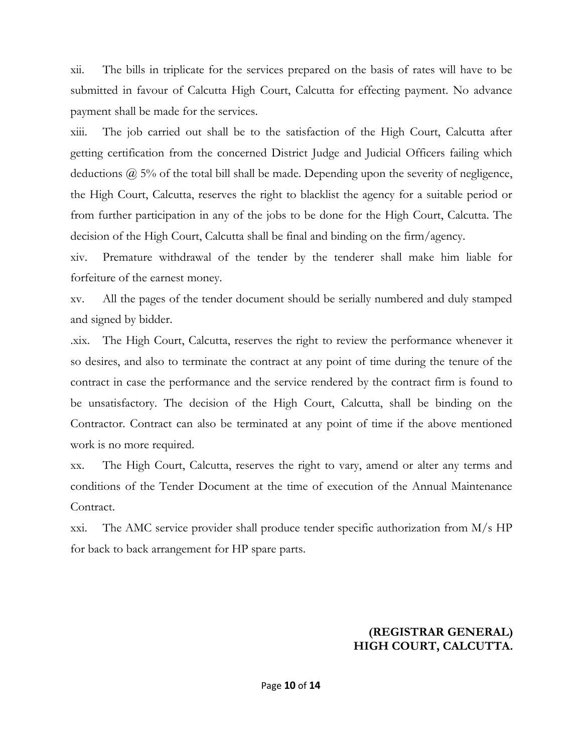xii. The bills in triplicate for the services prepared on the basis of rates will have to be submitted in favour of Calcutta High Court, Calcutta for effecting payment. No advance payment shall be made for the services.

xiii. The job carried out shall be to the satisfaction of the High Court, Calcutta after getting certification from the concerned District Judge and Judicial Officers failing which deductions  $\omega$  5% of the total bill shall be made. Depending upon the severity of negligence, the High Court, Calcutta, reserves the right to blacklist the agency for a suitable period or from further participation in any of the jobs to be done for the High Court, Calcutta. The decision of the High Court, Calcutta shall be final and binding on the firm/agency.

xiv. Premature withdrawal of the tender by the tenderer shall make him liable for forfeiture of the earnest money.

xv. All the pages of the tender document should be serially numbered and duly stamped and signed by bidder.

.xix. The High Court, Calcutta, reserves the right to review the performance whenever it so desires, and also to terminate the contract at any point of time during the tenure of the contract in case the performance and the service rendered by the contract firm is found to be unsatisfactory. The decision of the High Court, Calcutta, shall be binding on the Contractor. Contract can also be terminated at any point of time if the above mentioned work is no more required.

xx. The High Court, Calcutta, reserves the right to vary, amend or alter any terms and conditions of the Tender Document at the time of execution of the Annual Maintenance Contract.

xxi. The AMC service provider shall produce tender specific authorization from M/s HP for back to back arrangement for HP spare parts.

## **(REGISTRAR GENERAL) HIGH COURT, CALCUTTA.**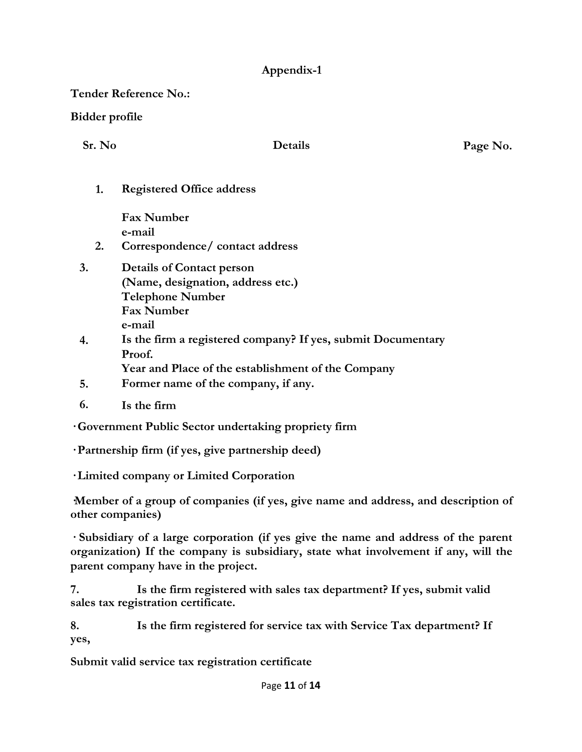# **Appendix-1**

**Tender Reference No.:**

**Bidder profile**

**Sr. No Details Page No.**

**1. Registered Office address**

**Fax Number e-mail**

- **2. Correspondence/ contact address**
- **3. Details of Contact person (Name, designation, address etc.) Telephone Number Fax Number e-mail**
- **4. Is the firm a registered company? If yes, submit Documentary Proof.**
	- **Year and Place of the establishment of the Company**
- **5. Former name of the company, if any.**
- **6. Is the firm**

**· Government Public Sector undertaking propriety firm**

**· Partnership firm (if yes, give partnership deed)**

**· Limited company or Limited Corporation**

**·Member of a group of companies (if yes, give name and address, and description of other companies)**

**· Subsidiary of a large corporation (if yes give the name and address of the parent organization) If the company is subsidiary, state what involvement if any, will the parent company have in the project.**

**7. Is the firm registered with sales tax department? If yes, submit valid sales tax registration certificate.**

**8. Is the firm registered for service tax with Service Tax department? If yes,**

**Submit valid service tax registration certificate**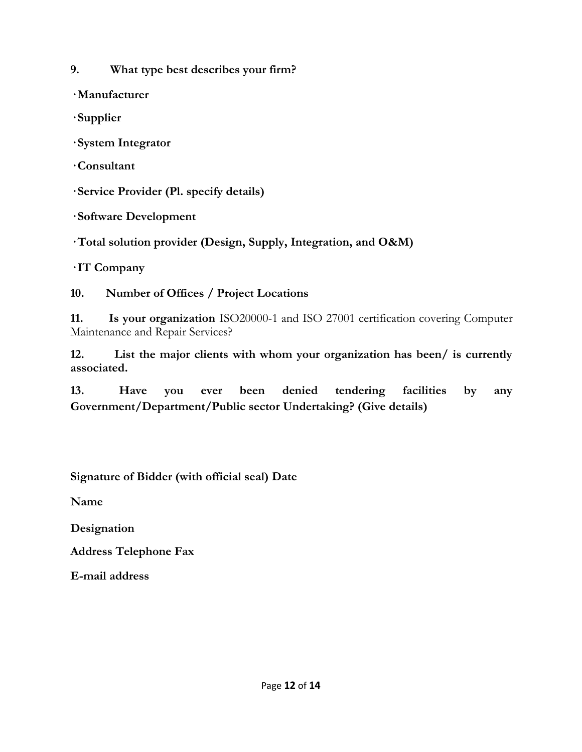**9. What type best describes your firm?**

**· Manufacturer**

**· Supplier**

**· System Integrator**

**· Consultant**

**· Service Provider (Pl. specify details)**

**· Software Development**

**· Total solution provider (Design, Supply, Integration, and O&M)**

**· IT Company**

**10. Number of Offices / Project Locations**

**11. Is your organization** ISO20000-1 and ISO 27001 certification covering Computer Maintenance and Repair Services?

**12. List the major clients with whom your organization has been/ is currently associated.**

**13. Have you ever been denied tendering facilities by any Government/Department/Public sector Undertaking? (Give details)**

**Signature of Bidder (with official seal) Date** 

**Name**

**Designation**

**Address Telephone Fax**

**E-mail address**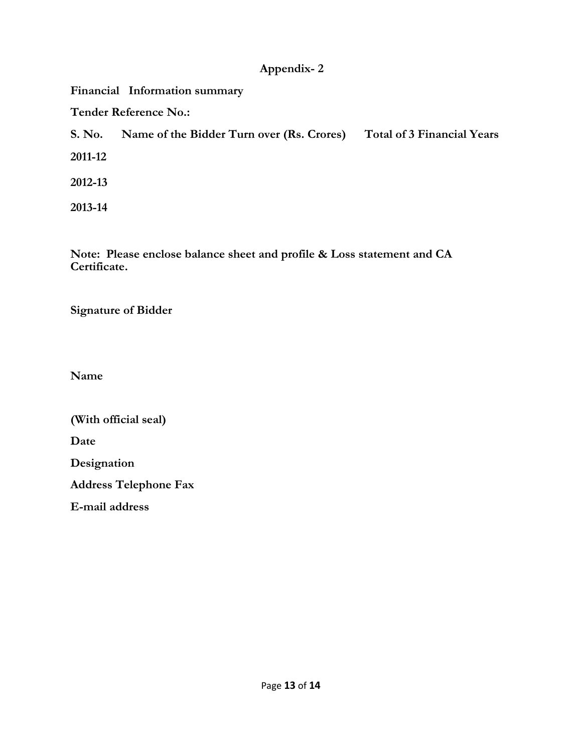## **Appendix- 2**

**Financial Information summary Tender Reference No.: S. No. Name of the Bidder Turn over (Rs. Crores) Total of 3 Financial Years 2011-12 2012-13 2013-14**

**Note: Please enclose balance sheet and profile & Loss statement and CA Certificate.**

**Signature of Bidder**

**Name**

**(With official seal) Date Designation Address Telephone Fax E-mail address**